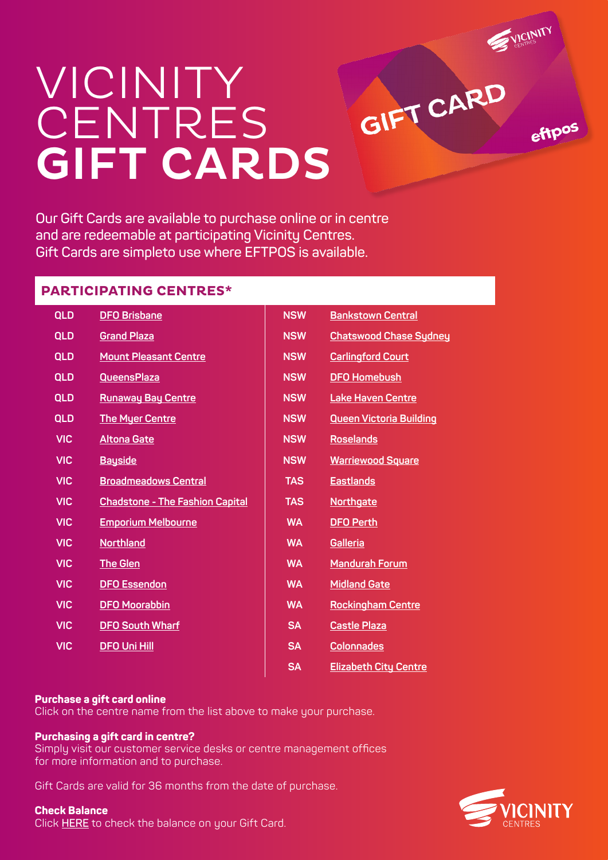

ettpos

# VICINITY **CENTRES** GIFT CARDS

**Our Gift Cards are available to purchase online or in centre and are redeemable at participating Vicinity Centres. Gift Cards are simpleto use where EFTPOS is available.**

## **PARTICIPATING CENTRES\***

| QLD        | <b>DFO Brisbane</b>                    | <b>NSW</b> | <b>Bankstown Central</b>       |
|------------|----------------------------------------|------------|--------------------------------|
| <b>QLD</b> | <b>Grand Plaza</b>                     | <b>NSW</b> | <b>Chatswood Chase Sydney</b>  |
| <b>QLD</b> | <b>Mount Pleasant Centre</b>           | <b>NSW</b> | <b>Carlingford Court</b>       |
| <b>QLD</b> | <b>QueensPlaza</b>                     | <b>NSW</b> | <b>DFO Homebush</b>            |
| <b>QLD</b> | <b>Runaway Bay Centre</b>              | <b>NSW</b> | <b>Lake Haven Centre</b>       |
| <b>QLD</b> | <b>The Myer Centre</b>                 | <b>NSW</b> | <b>Queen Victoria Building</b> |
| <b>VIC</b> | <b>Altona Gate</b>                     | <b>NSW</b> | <b>Roselands</b>               |
| <b>VIC</b> | <b>Bayside</b>                         | <b>NSW</b> | <b>Warriewood Square</b>       |
| <b>VIC</b> | <b>Broadmeadows Central</b>            | <b>TAS</b> | <b>Eastlands</b>               |
| <b>VIC</b> | <b>Chadstone - The Fashion Capital</b> | <b>TAS</b> | <b>Northgate</b>               |
| <b>VIC</b> | <b>Emporium Melbourne</b>              | <b>WA</b>  | <b>DFO Perth</b>               |
| <b>VIC</b> | <b>Northland</b>                       | <b>WA</b>  | <b>Galleria</b>                |
| <b>VIC</b> | <b>The Glen</b>                        | <b>WA</b>  | <b>Mandurah Forum</b>          |
| <b>VIC</b> | <b>DFO Essendon</b>                    | <b>WA</b>  | <b>Midland Gate</b>            |
| <b>VIC</b> | <b>DFO Moorabbin</b>                   | <b>WA</b>  | <b>Rockingham Centre</b>       |
| <b>VIC</b> | <b>DFO South Wharf</b>                 | <b>SA</b>  | <b>Castle Plaza</b>            |
| <b>VIC</b> | <b>DFO Uni Hill</b>                    | <b>SA</b>  | <b>Colonnades</b>              |
|            |                                        | <b>SA</b>  | <b>Elizabeth City Centre</b>   |

### **Purchase a gift card online**

Click on the centre name from the list above to make your purchase.

#### **Purchasing a gift card in centre?**

Simply visit our customer service desks or centre management offices for more information and to purchase.

Gift Cards are valid for 36 months from the date of purchase.

### **Check Balance**

Click **[HERE](https://www.egivv.com/check-balance/)** to check the balance on your Gift Card.